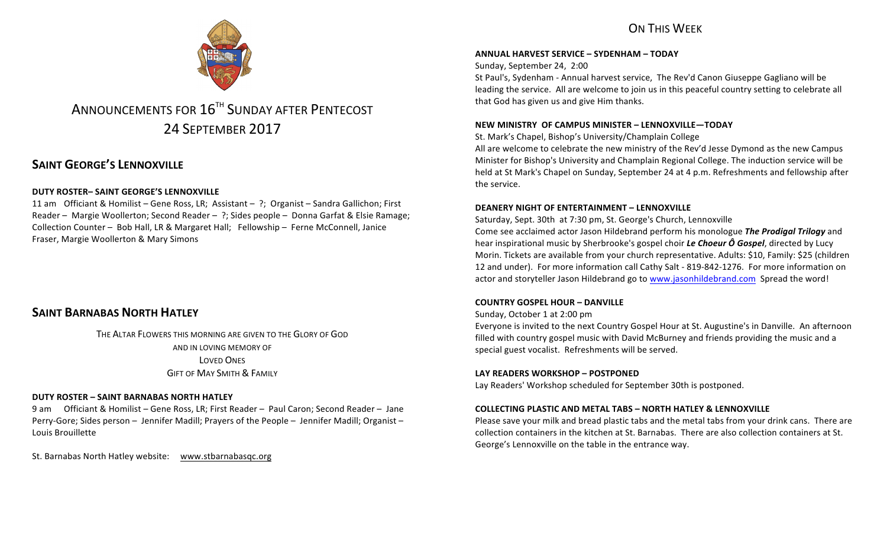

# ANNOUNCEMENTS FOR  $16^{\text{th}}$  SUNDAY AFTER PENTECOST 24 SEPTEMBER 2017

# **SAINT GEORGE'S LENNOXVILLE**

### **DUTY ROSTER– SAINT GEORGE'S LENNOXVILLE**

11 am Officiant & Homilist – Gene Ross, LR; Assistant – ?; Organist – Sandra Gallichon; First Reader – Margie Woollerton; Second Reader – ?; Sides people – Donna Garfat & Elsie Ramage; Collection Counter - Bob Hall, LR & Margaret Hall; Fellowship - Ferne McConnell, Janice Fraser, Margie Woollerton & Mary Simons

# **SAINT BARNABAS NORTH HATLEY**

THE ALTAR FLOWERS THIS MORNING ARE GIVEN TO THE GLORY OF GOD AND IN LOVING MEMORY OF LOVED ONES **GIFT OF MAY SMITH & FAMILY** 

### **DUTY ROSTER – SAINT BARNABAS NORTH HATLEY**

9 am Officiant & Homilist – Gene Ross, LR; First Reader – Paul Caron; Second Reader – Jane Perry-Gore; Sides person - Jennifer Madill; Prayers of the People - Jennifer Madill; Organist -Louis Brouillette

St. Barnabas North Hatley website: www.stbarnabasqc.org

# ON THIS WFFK

### **ANNUAL HARVEST SERVICE – SYDENHAM – TODAY**

Sunday, September 24, 2:00

St Paul's, Sydenham - Annual harvest service, The Rev'd Canon Giuseppe Gagliano will be leading the service. All are welcome to join us in this peaceful country setting to celebrate all that God has given us and give Him thanks.

### **NEW MINISTRY OF CAMPUS MINISTER – LENNOXVILLE—TODAY**

St. Mark's Chapel, Bishop's University/Champlain College

All are welcome to celebrate the new ministry of the Rev'd Jesse Dymond as the new Campus Minister for Bishop's University and Champlain Regional College. The induction service will be held at St Mark's Chapel on Sunday, September 24 at 4 p.m. Refreshments and fellowship after the service.

### **DEANERY NIGHT OF ENTERTAINMENT – LENNOXVILLE**

Saturday, Sept. 30th at 7:30 pm, St. George's Church, Lennoxville Come see acclaimed actor Jason Hildebrand perform his monologue *The Prodigal Trilogy* and hear inspirational music by Sherbrooke's gospel choir *Le Choeur Ô Gospel*, directed by Lucy Morin. Tickets are available from your church representative. Adults: \$10, Family: \$25 (children 12 and under). For more information call Cathy Salt - 819-842-1276. For more information on actor and storyteller Jason Hildebrand go to www.jasonhildebrand.com Spread the word!

### **COUNTRY GOSPEL HOUR – DANVILLE**

Sunday, October 1 at 2:00 pm

Everyone is invited to the next Country Gospel Hour at St. Augustine's in Danville. An afternoon filled with country gospel music with David McBurney and friends providing the music and a special guest vocalist. Refreshments will be served.

### LAY READERS WORKSHOP - POSTPONED

Lay Readers' Workshop scheduled for September 30th is postponed.

### **COLLECTING PLASTIC AND METAL TABS – NORTH HATLEY & LENNOXVILLE**

Please save your milk and bread plastic tabs and the metal tabs from your drink cans. There are collection containers in the kitchen at St. Barnabas. There are also collection containers at St. George's Lennoxville on the table in the entrance way.